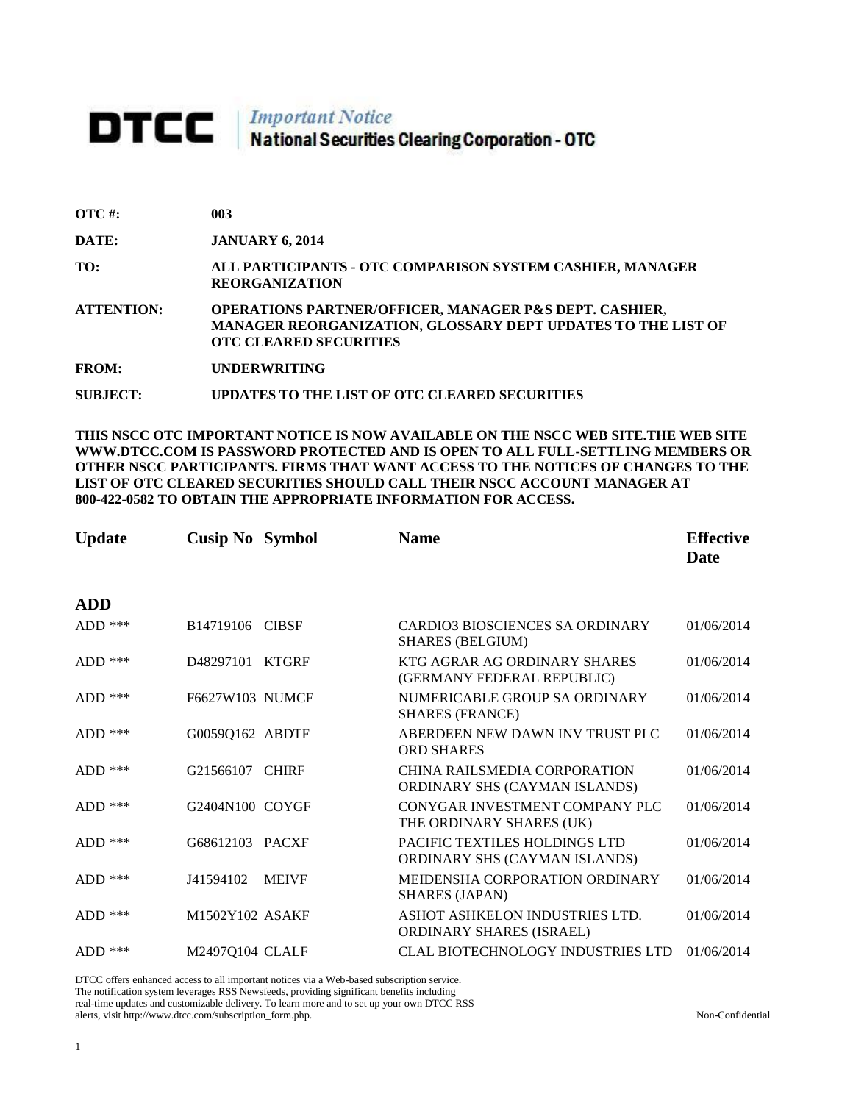## **DTCC** | Important Notice<br>National Securities Clearing Corporation - OTC

| $\overline{OTC}$ #: | 003                                                                                                                                                                |
|---------------------|--------------------------------------------------------------------------------------------------------------------------------------------------------------------|
| DATE:               | <b>JANUARY 6, 2014</b>                                                                                                                                             |
| TO:                 | ALL PARTICIPANTS - OTC COMPARISON SYSTEM CASHIER, MANAGER<br><b>REORGANIZATION</b>                                                                                 |
| <b>ATTENTION:</b>   | <b>OPERATIONS PARTNER/OFFICER, MANAGER P&amp;S DEPT. CASHIER,</b><br>MANAGER REORGANIZATION, GLOSSARY DEPT UPDATES TO THE LIST OF<br><b>OTC CLEARED SECURITIES</b> |
| <b>FROM:</b>        | <b>UNDERWRITING</b>                                                                                                                                                |
| SUBJECT:            | UPDATES TO THE LIST OF OTC CLEARED SECURITIES                                                                                                                      |

**THIS NSCC OTC IMPORTANT NOTICE IS NOW AVAILABLE ON THE NSCC WEB SITE.THE WEB SITE WWW.DTCC.COM IS PASSWORD PROTECTED AND IS OPEN TO ALL FULL-SETTLING MEMBERS OR OTHER NSCC PARTICIPANTS. FIRMS THAT WANT ACCESS TO THE NOTICES OF CHANGES TO THE LIST OF OTC CLEARED SECURITIES SHOULD CALL THEIR NSCC ACCOUNT MANAGER AT 800-422-0582 TO OBTAIN THE APPROPRIATE INFORMATION FOR ACCESS.** 

| <b>Update</b> | <b>Cusip No Symbol</b> |              | <b>Name</b>                                                       | <b>Effective</b><br>Date |
|---------------|------------------------|--------------|-------------------------------------------------------------------|--------------------------|
| <b>ADD</b>    |                        |              |                                                                   |                          |
| $ADD$ ***     | B14719106 CIBSF        |              | <b>CARDIO3 BIOSCIENCES SA ORDINARY</b><br><b>SHARES (BELGIUM)</b> | 01/06/2014               |
| $ADD$ ***     | D48297101              | <b>KTGRF</b> | KTG AGRAR AG ORDINARY SHARES<br>(GERMANY FEDERAL REPUBLIC)        | 01/06/2014               |
| $ADD$ ***     | F6627W103 NUMCF        |              | NUMERICABLE GROUP SA ORDINARY<br><b>SHARES (FRANCE)</b>           | 01/06/2014               |
| ADD $***$     | G0059Q162 ABDTF        |              | ABERDEEN NEW DAWN INV TRUST PLC<br><b>ORD SHARES</b>              | 01/06/2014               |
| $ADD$ ***     | G21566107              | <b>CHIRF</b> | CHINA RAILSMEDIA CORPORATION<br>ORDINARY SHS (CAYMAN ISLANDS)     | 01/06/2014               |
| $ADD$ ***     | G2404N100 COYGF        |              | CONYGAR INVESTMENT COMPANY PLC<br>THE ORDINARY SHARES (UK)        | 01/06/2014               |
| $ADD$ ***     | G68612103 PACXF        |              | PACIFIC TEXTILES HOLDINGS LTD<br>ORDINARY SHS (CAYMAN ISLANDS)    | 01/06/2014               |
| ADD $***$     | J41594102              | <b>MEIVF</b> | MEIDENSHA CORPORATION ORDINARY<br><b>SHARES (JAPAN)</b>           | 01/06/2014               |
| $ADD$ ***     | M1502Y102 ASAKF        |              | ASHOT ASHKELON INDUSTRIES LTD.<br><b>ORDINARY SHARES (ISRAEL)</b> | 01/06/2014               |
| $ADD$ ***     | M24970104 CLALF        |              | <b>CLAL BIOTECHNOLOGY INDUSTRIES LTD</b>                          | 01/06/2014               |

DTCC offers enhanced access to all important notices via a Web-based subscription service. The notification system leverages RSS Newsfeeds, providing significant benefits including real-time updates and customizable delivery. To learn more and to set up your own DTCC RSS alerts, visit http://www.dtcc.com/subscription\_form.php. Non-Confidential